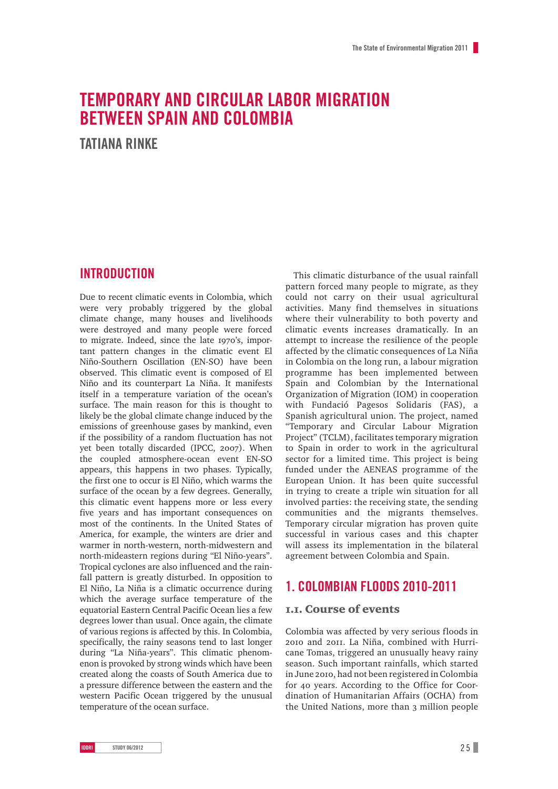# **TEMPORARY AND CIRCULAR LABOR MIGRATION BETWEEN SPAIN AND COLOMBIA**

**TATIANA RINKE**

# **INTRODUCTION**

Due to recent climatic events in Colombia, which were very probably triggered by the global climate change, many houses and livelihoods were destroyed and many people were forced to migrate. Indeed, since the late 1970's, important pattern changes in the climatic event El Niño-Southern Oscillation (EN-SO) have been observed. This climatic event is composed of El Niño and its counterpart La Niña. It manifests itself in a temperature variation of the ocean's surface. The main reason for this is thought to likely be the global climate change induced by the emissions of greenhouse gases by mankind, even if the possibility of a random fluctuation has not yet been totally discarded (IPCC, 2007). When the coupled atmosphere-ocean event EN-SO appears, this happens in two phases. Typically, the first one to occur is El Niño, which warms the surface of the ocean by a few degrees. Generally, this climatic event happens more or less every five years and has important consequences on most of the continents. In the United States of America, for example, the winters are drier and warmer in north-western, north-midwestern and north-mideastern regions during "El Niño-years". Tropical cyclones are also influenced and the rainfall pattern is greatly disturbed. In opposition to El Niño, La Niña is a climatic occurrence during which the average surface temperature of the equatorial Eastern Central Pacific Ocean lies a few degrees lower than usual. Once again, the climate of various regions is affected by this. In Colombia, specifically, the rainy seasons tend to last longer during "La Niña-years". This climatic phenomenon is provoked by strong winds which have been created along the coasts of South America due to a pressure difference between the eastern and the western Pacific Ocean triggered by the unusual temperature of the ocean surface.

This climatic disturbance of the usual rainfall pattern forced many people to migrate, as they could not carry on their usual agricultural activities. Many find themselves in situations where their vulnerability to both poverty and climatic events increases dramatically. In an attempt to increase the resilience of the people affected by the climatic consequences of La Niña in Colombia on the long run, a labour migration programme has been implemented between Spain and Colombian by the International Organization of Migration (IOM) in cooperation with Fundació Pagesos Solidaris (FAS), a Spanish agricultural union. The project, named "Temporary and Circular Labour Migration Project" (TCLM), facilitates temporary migration to Spain in order to work in the agricultural sector for a limited time. This project is being funded under the AENEAS programme of the European Union. It has been quite successful in trying to create a triple win situation for all involved parties: the receiving state, the sending communities and the migrants themselves. Temporary circular migration has proven quite successful in various cases and this chapter will assess its implementation in the bilateral agreement between Colombia and Spain.

# **1. COLOMBIAN FLOODS 2010-2011**

### 1.1. Course of events

Colombia was affected by very serious floods in 2010 and 2011. La Niña, combined with Hurricane Tomas, triggered an unusually heavy rainy season. Such important rainfalls, which started in June 2010, had not been registered in Colombia for 40 years. According to the Office for Coordination of Humanitarian Affairs (OCHA) from the United Nations, more than 3 million people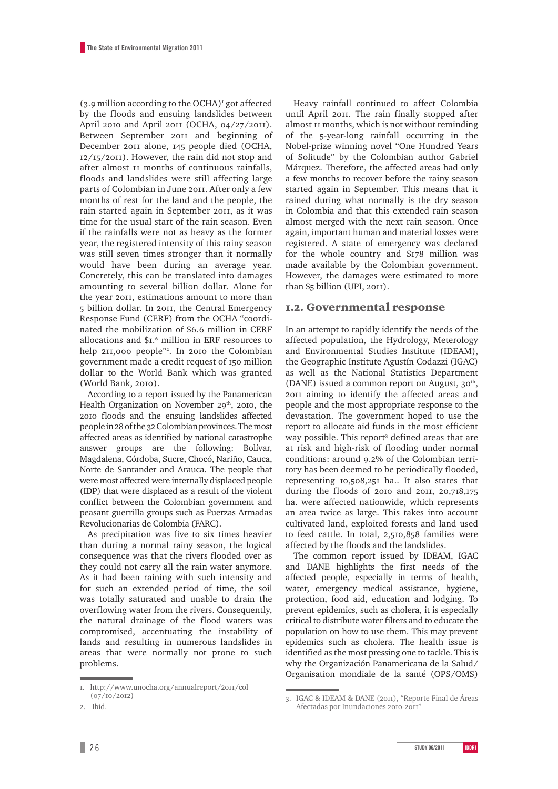$(3.9$  million according to the OCHA)<sup> $\iota$ </sup> got affected by the floods and ensuing landslides between April 2010 and April 2011 (OCHA, 04/27/2011). Between September 2011 and beginning of December 2011 alone, 145 people died (OCHA, 12/15/2011). However, the rain did not stop and after almost 11 months of continuous rainfalls, floods and landslides were still affecting large parts of Colombian in June 2011. After only a few months of rest for the land and the people, the rain started again in September 2011, as it was time for the usual start of the rain season. Even if the rainfalls were not as heavy as the former year, the registered intensity of this rainy season was still seven times stronger than it normally would have been during an average year. Concretely, this can be translated into damages amounting to several billion dollar. Alone for the year 2011, estimations amount to more than 5 billion dollar. In 2011, the Central Emergency Response Fund (CERF) from the OCHA "coordinated the mobilization of \$6.6 million in CERF allocations and \$1.6 million in ERF resources to help 211,000 people"2 . In 2010 the Colombian government made a credit request of 150 million dollar to the World Bank which was granted (World Bank, 2010).

According to a report issued by the Panamerican Health Organization on November  $29<sup>th</sup>$ , 2010, the 2010 floods and the ensuing landslides affected people in 28 of the 32 Colombian provinces. The most affected areas as identified by national catastrophe answer groups are the following: Bolívar, Magdalena, Córdoba, Sucre, Chocó, Nariño, Cauca, Norte de Santander and Arauca. The people that were most affected were internally displaced people (IDP) that were displaced as a result of the violent conflict between the Colombian government and peasant guerrilla groups such as Fuerzas Armadas Revolucionarias de Colombia (FARC).

As precipitation was five to six times heavier than during a normal rainy season, the logical consequence was that the rivers flooded over as they could not carry all the rain water anymore. As it had been raining with such intensity and for such an extended period of time, the soil was totally saturated and unable to drain the overflowing water from the rivers. Consequently, the natural drainage of the flood waters was compromised, accentuating the instability of lands and resulting in numerous landslides in areas that were normally not prone to such problems.

Heavy rainfall continued to affect Colombia until April 2011. The rain finally stopped after almost 11 months, which is not without reminding of the 5-year-long rainfall occurring in the Nobel-prize winning novel "One Hundred Years of Solitude" by the Colombian author Gabriel Márquez. Therefore, the affected areas had only a few months to recover before the rainy season started again in September. This means that it rained during what normally is the dry season in Colombia and that this extended rain season almost merged with the next rain season. Once again, important human and material losses were registered. A state of emergency was declared for the whole country and \$178 million was made available by the Colombian government. However, the damages were estimated to more than \$5 billion (UPI, 2011).

### 1.2. Governmental response

In an attempt to rapidly identify the needs of the affected population, the Hydrology, Meterology and Environmental Studies Institute (IDEAM), the Geographic Institute Agustín Codazzi (IGAC) as well as the National Statistics Department (DANE) issued a common report on August,  $30<sup>th</sup>$ , 2011 aiming to identify the affected areas and people and the most appropriate response to the devastation. The government hoped to use the report to allocate aid funds in the most efficient way possible. This report<sup>3</sup> defined areas that are at risk and high-risk of flooding under normal conditions: around 9.2% of the Colombian territory has been deemed to be periodically flooded, representing 10,508,251 ha.. It also states that during the floods of 2010 and 2011, 20,718,175 ha. were affected nationwide, which represents an area twice as large. This takes into account cultivated land, exploited forests and land used to feed cattle. In total, 2,510,858 families were affected by the floods and the landslides.

The common report issued by IDEAM, IGAC and DANE highlights the first needs of the affected people, especially in terms of health, water, emergency medical assistance, hygiene, protection, food aid, education and lodging. To prevent epidemics, such as cholera, it is especially critical to distribute water filters and to educate the population on how to use them. This may prevent epidemics such as cholera. The health issue is identified as the most pressing one to tackle. This is why the Organización Panamericana de la Salud/ Organisation mondiale de la santé (OPS/OMS)

<sup>1.</sup> <http://www.unocha.org/annualreport/2011/col> (07/10/2012)

<sup>2.</sup> Ibid.

<sup>3.</sup> IGAC & IDEAM & DANE (2011), "Reporte Final de Áreas Afectadas por Inundaciones 2010-2011"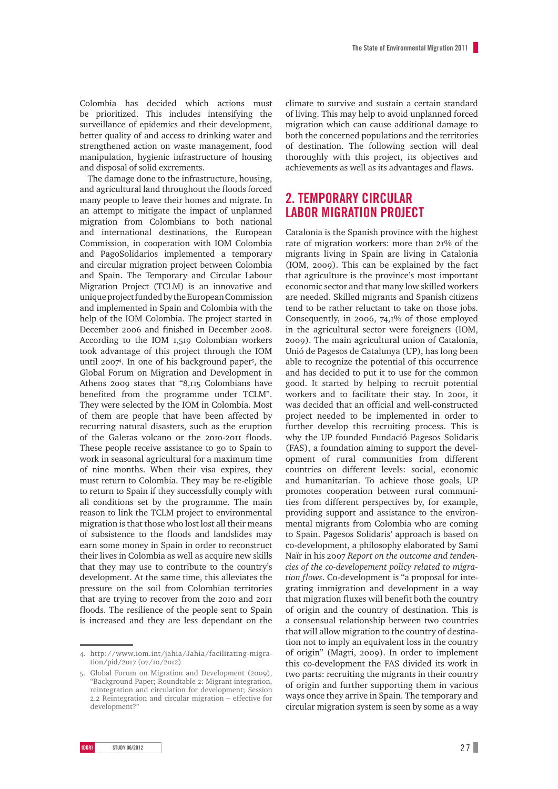Colombia has decided which actions must be prioritized. This includes intensifying the surveillance of epidemics and their development, better quality of and access to drinking water and strengthened action on waste management, food manipulation, hygienic infrastructure of housing and disposal of solid excrements.

The damage done to the infrastructure, housing, and agricultural land throughout the floods forced many people to leave their homes and migrate. In an attempt to mitigate the impact of unplanned migration from Colombians to both national and international destinations, the European Commission, in cooperation with IOM Colombia and PagoSolidarios implemented a temporary and circular migration project between Colombia and Spain. The Temporary and Circular Labour Migration Project (TCLM) is an innovative and unique project funded by the European Commission and implemented in Spain and Colombia with the help of the IOM Colombia. The project started in December 2006 and finished in December 2008. According to the IOM 1,519 Colombian workers took advantage of this project through the IOM until 2007<sup>4</sup>. In one of his background paper<sup>5</sup>, the Global Forum on Migration and Development in Athens 2009 states that "8,115 Colombians have benefited from the programme under TCLM". They were selected by the IOM in Colombia. Most of them are people that have been affected by recurring natural disasters, such as the eruption of the Galeras volcano or the 2010-2011 floods. These people receive assistance to go to Spain to work in seasonal agricultural for a maximum time of nine months. When their visa expires, they must return to Colombia. They may be re-eligible to return to Spain if they successfully comply with all conditions set by the programme. The main reason to link the TCLM project to environmental migration is that those who lost lost all their means of subsistence to the floods and landslides may earn some money in Spain in order to reconstruct their lives in Colombia as well as acquire new skills that they may use to contribute to the country's development. At the same time, this alleviates the pressure on the soil from Colombian territories that are trying to recover from the 2010 and 2011 floods. The resilience of the people sent to Spain is increased and they are less dependant on the

climate to survive and sustain a certain standard of living. This may help to avoid unplanned forced migration which can cause additional damage to both the concerned populations and the territories of destination. The following section will deal thoroughly with this project, its objectives and achievements as well as its advantages and flaws.

# **2. TEMPORARY CIRCULAR LABOR MIGRATION PROJECT**

Catalonia is the Spanish province with the highest rate of migration workers: more than 21% of the migrants living in Spain are living in Catalonia (IOM, 2009). This can be explained by the fact that agriculture is the province's most important economic sector and that many low skilled workers are needed. Skilled migrants and Spanish citizens tend to be rather reluctant to take on those jobs. Consequently, in 2006, 74,1% of those employed in the agricultural sector were foreigners (IOM, 2009). The main agricultural union of Catalonia, Unió de Pagesos de Catalunya (UP), has long been able to recognize the potential of this occurrence and has decided to put it to use for the common good. It started by helping to recruit potential workers and to facilitate their stay. In 2001, it was decided that an official and well-constructed project needed to be implemented in order to further develop this recruiting process. This is why the UP founded Fundació Pagesos Solidaris (FAS), a foundation aiming to support the development of rural communities from different countries on different levels: social, economic and humanitarian. To achieve those goals, UP promotes cooperation between rural communities from different perspectives by, for example, providing support and assistance to the environmental migrants from Colombia who are coming to Spain. Pagesos Solidaris' approach is based on co-development, a philosophy elaborated by Sami Naïr in his 2007 *Report on the outcome and tendencies of the co-developement policy related to migration flows*. Co-development is "a proposal for integrating immigration and development in a way that migration fluxes will benefit both the country of origin and the country of destination. This is a consensual relationship between two countries that will allow migration to the country of destination not to imply an equivalent loss in the country of origin" (Magri, 2009). In order to implement this co-development the FAS divided its work in two parts: recruiting the migrants in their country of origin and further supporting them in various ways once they arrive in Spain. The temporary and circular migration system is seen by some as a way

<sup>4.</sup> [http://www.iom.int/jahia/Jahia/facilitating-migra](http://www.iom.int/jahia/Jahia/facilitating-migration/pid/2017)[tion/pid/2017](http://www.iom.int/jahia/Jahia/facilitating-migration/pid/2017) (07/10/2012)

<sup>5.</sup> Global Forum on Migration and Development (2009), "Background Paper; Roundtable 2: Migrant integration, reintegration and circulation for development; Session 2.2 Reintegration and circular migration – effective for development?"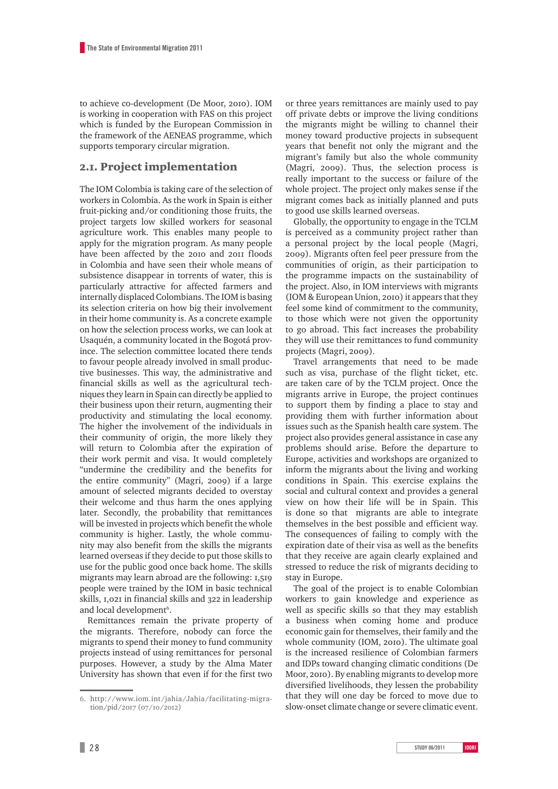to achieve co-development (De Moor, 2010). IOM is working in cooperation with FAS on this project which is funded by the European Commission in the framework of the AENEAS programme, which supports temporary circular migration.

### 2.1. Project implementation

The IOM Colombia is taking care of the selection of workers in Colombia. As the work in Spain is either fruit-picking and/or conditioning those fruits, the project targets low skilled workers for seasonal agriculture work. This enables many people to apply for the migration program. As many people have been affected by the 2010 and 2011 floods in Colombia and have seen their whole means of subsistence disappear in torrents of water, this is particularly attractive for affected farmers and internally displaced Colombians. The IOM is basing its selection criteria on how big their involvement in their home community is. As a concrete example on how the selection process works, we can look at Usaquén, a community located in the Bogotá province. The selection committee located there tends to favour people already involved in small productive businesses. This way, the administrative and financial skills as well as the agricultural techniques they learn in Spain can directly be applied to their business upon their return, augmenting their productivity and stimulating the local economy. The higher the involvement of the individuals in their community of origin, the more likely they will return to Colombia after the expiration of their work permit and visa. It would completely "undermine the credibility and the benefits for the entire community" (Magri, 2009) if a large amount of selected migrants decided to overstay their welcome and thus harm the ones applying later. Secondly, the probability that remittances will be invested in projects which benefit the whole community is higher. Lastly, the whole community may also benefit from the skills the migrants learned overseas if they decide to put those skills to use for the public good once back home. The skills migrants may learn abroad are the following: 1,519 people were trained by the IOM in basic technical skills, 1,021 in financial skills and 322 in leadership and local development<sup>6</sup>.

Remittances remain the private property of the migrants. Therefore, nobody can force the migrants to spend their money to fund community projects instead of using remittances for personal purposes. However, a study by the Alma Mater University has shown that even if for the first two or three years remittances are mainly used to pay off private debts or improve the living conditions the migrants might be willing to channel their money toward productive projects in subsequent years that benefit not only the migrant and the migrant's family but also the whole community (Magri, 2009). Thus, the selection process is really important to the success or failure of the whole project. The project only makes sense if the migrant comes back as initially planned and puts to good use skills learned overseas.

Globally, the opportunity to engage in the TCLM is perceived as a community project rather than a personal project by the local people (Magri, 2009). Migrants often feel peer pressure from the communities of origin, as their participation to the programme impacts on the sustainability of the project. Also, in IOM interviews with migrants (IOM & European Union, 2010) it appears that they feel some kind of commitment to the community, to those which were not given the opportunity to go abroad. This fact increases the probability they will use their remittances to fund community projects (Magri, 2009).

Travel arrangements that need to be made such as visa, purchase of the flight ticket, etc. are taken care of by the TCLM project. Once the migrants arrive in Europe, the project continues to support them by finding a place to stay and providing them with further information about issues such as the Spanish health care system. The project also provides general assistance in case any problems should arise. Before the departure to Europe, activities and workshops are organized to inform the migrants about the living and working conditions in Spain. This exercise explains the social and cultural context and provides a general view on how their life will be in Spain. This is done so that migrants are able to integrate themselves in the best possible and efficient way. The consequences of failing to comply with the expiration date of their visa as well as the benefits that they receive are again clearly explained and stressed to reduce the risk of migrants deciding to stay in Europe.

The goal of the project is to enable Colombian workers to gain knowledge and experience as well as specific skills so that they may establish a business when coming home and produce economic gain for themselves, their family and the whole community (IOM, 2010). The ultimate goal is the increased resilience of Colombian farmers and IDPs toward changing climatic conditions (De Moor, 2010). By enabling migrants to develop more diversified livelihoods, they lessen the probability that they will one day be forced to move due to slow-onset climate change or severe climatic event.

<sup>6.</sup> [http://www.iom.int/jahia/Jahia/facilitating-migra](http://www.iom.int/jahia/Jahia/facilitating-migration/pid/2017)[tion/pid/2017](http://www.iom.int/jahia/Jahia/facilitating-migration/pid/2017) (07/10/2012)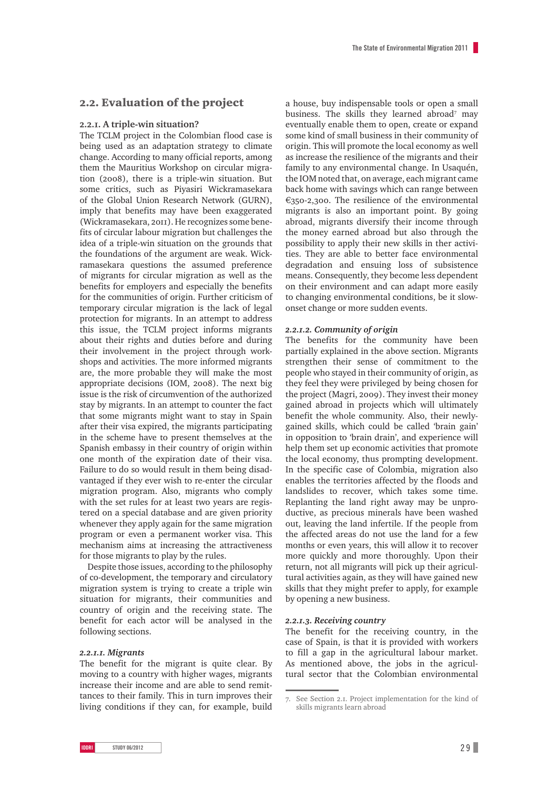### 2.2. Evaluation of the project

#### **2.2.1. A triple-win situation?**

The TCLM project in the Colombian flood case is being used as an adaptation strategy to climate change. According to many official reports, among them the Mauritius Workshop on circular migration (2008), there is a triple-win situation. But some critics, such as Piyasiri Wickramasekara of the Global Union Research Network (GURN), imply that benefits may have been exaggerated (Wickramasekara, 2011). He recognizes some benefits of circular labour migration but challenges the idea of a triple-win situation on the grounds that the foundations of the argument are weak. Wickramasekara questions the assumed preference of migrants for circular migration as well as the benefits for employers and especially the benefits for the communities of origin. Further criticism of temporary circular migration is the lack of legal protection for migrants. In an attempt to address this issue, the TCLM project informs migrants about their rights and duties before and during their involvement in the project through workshops and activities. The more informed migrants are, the more probable they will make the most appropriate decisions (IOM, 2008). The next big issue is the risk of circumvention of the authorized stay by migrants. In an attempt to counter the fact that some migrants might want to stay in Spain after their visa expired, the migrants participating in the scheme have to present themselves at the Spanish embassy in their country of origin within one month of the expiration date of their visa. Failure to do so would result in them being disadvantaged if they ever wish to re-enter the circular migration program. Also, migrants who comply with the set rules for at least two years are registered on a special database and are given priority whenever they apply again for the same migration program or even a permanent worker visa. This mechanism aims at increasing the attractiveness for those migrants to play by the rules.

Despite those issues, according to the philosophy of co-development, the temporary and circulatory migration system is trying to create a triple win situation for migrants, their communities and country of origin and the receiving state. The benefit for each actor will be analysed in the following sections.

#### *2.2.1.1. Migrants*

The benefit for the migrant is quite clear. By moving to a country with higher wages, migrants increase their income and are able to send remittances to their family. This in turn improves their living conditions if they can, for example, build

a house, buy indispensable tools or open a small business. The skills they learned abroad<sup>7</sup> may eventually enable them to open, create or expand some kind of small business in their community of origin. This will promote the local economy as well as increase the resilience of the migrants and their family to any environmental change. In Usaquén, the IOM noted that, on average, each migrant came back home with savings which can range between €350-2,300. The resilience of the environmental migrants is also an important point. By going abroad, migrants diversify their income through the money earned abroad but also through the possibility to apply their new skills in ther activities. They are able to better face environmental degradation and ensuing loss of subsistence means. Consequently, they become less dependent on their environment and can adapt more easily to changing environmental conditions, be it slowonset change or more sudden events.

#### *2.2.1.2. Community of origin*

The benefits for the community have been partially explained in the above section. Migrants strengthen their sense of commitment to the people who stayed in their community of origin, as they feel they were privileged by being chosen for the project (Magri, 2009). They invest their money gained abroad in projects which will ultimately benefit the whole community. Also, their newlygained skills, which could be called 'brain gain' in opposition to 'brain drain', and experience will help them set up economic activities that promote the local economy, thus prompting development. In the specific case of Colombia, migration also enables the territories affected by the floods and landslides to recover, which takes some time. Replanting the land right away may be unproductive, as precious minerals have been washed out, leaving the land infertile. If the people from the affected areas do not use the land for a few months or even years, this will allow it to recover more quickly and more thoroughly. Upon their return, not all migrants will pick up their agricultural activities again, as they will have gained new skills that they might prefer to apply, for example by opening a new business.

#### *2.2.1.3. Receiving country*

The benefit for the receiving country, in the case of Spain, is that it is provided with workers to fill a gap in the agricultural labour market. As mentioned above, the jobs in the agricultural sector that the Colombian environmental

<sup>7.</sup> See Section 2.1. Project implementation for the kind of skills migrants learn abroad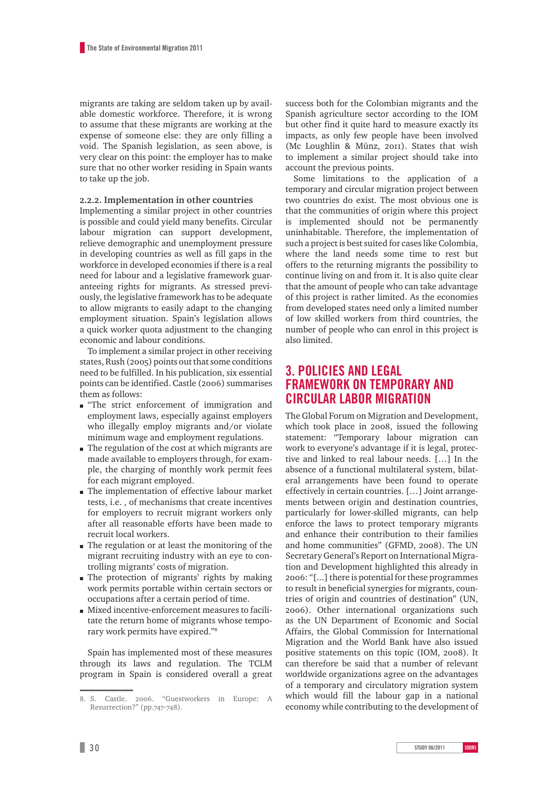migrants are taking are seldom taken up by available domestic workforce. Therefore, it is wrong to assume that these migrants are working at the expense of someone else: they are only filling a void. The Spanish legislation, as seen above, is very clear on this point: the employer has to make sure that no other worker residing in Spain wants to take up the job.

#### **2.2.2. Implementation in other countries**

Implementing a similar project in other countries is possible and could yield many benefits. Circular labour migration can support development, relieve demographic and unemployment pressure in developing countries as well as fill gaps in the workforce in developed economies if there is a real need for labour and a legislative framework guaranteeing rights for migrants. As stressed previously, the legislative framework has to be adequate to allow migrants to easily adapt to the changing employment situation. Spain's legislation allows a quick worker quota adjustment to the changing economic and labour conditions.

To implement a similar project in other receiving states, Rush (2005) points out that some conditions need to be fulfilled. In his publication, six essential points can be identified. Castle (2006) summarises them as follows:

- m "The strict enforcement of immigration and employment laws, especially against employers who illegally employ migrants and/or violate minimum wage and employment regulations.
- $\blacksquare$  The regulation of the cost at which migrants are made available to employers through, for example, the charging of monthly work permit fees for each migrant employed.
- $\blacksquare$  The implementation of effective labour market tests, i.e. , of mechanisms that create incentives for employers to recruit migrant workers only after all reasonable efforts have been made to recruit local workers.
- m The regulation or at least the monitoring of the migrant recruiting industry with an eye to controlling migrants' costs of migration.
- $\blacksquare$  The protection of migrants' rights by making work permits portable within certain sectors or occupations after a certain period of time.
- m Mixed incentive-enforcement measures to facilitate the return home of migrants whose temporary work permits have expired."8

Spain has implemented most of these measures through its laws and regulation. The TCLM program in Spain is considered overall a great success both for the Colombian migrants and the Spanish agriculture sector according to the IOM but other find it quite hard to measure exactly its impacts, as only few people have been involved (Mc Loughlin & Münz, 2011). States that wish to implement a similar project should take into account the previous points.

Some limitations to the application of a temporary and circular migration project between two countries do exist. The most obvious one is that the communities of origin where this project is implemented should not be permanently uninhabitable. Therefore, the implementation of such a project is best suited for cases like Colombia, where the land needs some time to rest but offers to the returning migrants the possibility to continue living on and from it. It is also quite clear that the amount of people who can take advantage of this project is rather limited. As the economies from developed states need only a limited number of low skilled workers from third countries, the number of people who can enrol in this project is also limited.

# **3. POLICIES AND LEGAL FRAMEWORK ON TEMPORARY AND CIRCULAR LABOR MIGRATION**

The Global Forum on Migration and Development, which took place in 2008, issued the following statement: "Temporary labour migration can work to everyone's advantage if it is legal, protective and linked to real labour needs. […] In the absence of a functional multilateral system, bilateral arrangements have been found to operate effectively in certain countries. […] Joint arrangements between origin and destination countries, particularly for lower-skilled migrants, can help enforce the laws to protect temporary migrants and enhance their contribution to their families and home communities" (GFMD, 2008). The UN Secretary General's Report on International Migration and Development highlighted this already in 2006: "[...] there is potential for these programmes to result in beneficial synergies for migrants, countries of origin and countries of destination" (UN, 2006). Other international organizations such as the UN Department of Economic and Social Affairs, the Global Commission for International Migration and the World Bank have also issued positive statements on this topic (IOM, 2008). It can therefore be said that a number of relevant worldwide organizations agree on the advantages of a temporary and circulatory migration system which would fill the labour gap in a national economy while contributing to the development of

<sup>8.</sup> S. Castle. 2006. "Guestworkers in Europe: A Resurrection?" (pp.747-748).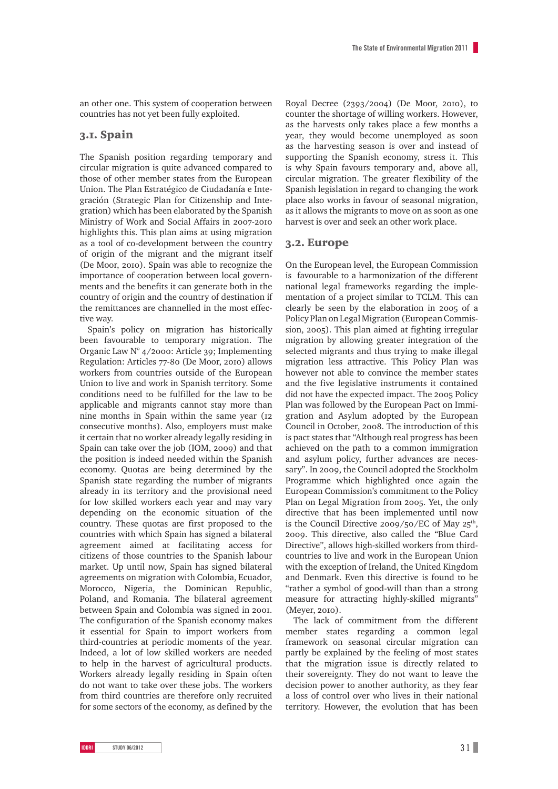an other one. This system of cooperation between countries has not yet been fully exploited.

### 3.1. Spain

The Spanish position regarding temporary and circular migration is quite advanced compared to those of other member states from the European Union. The Plan Estratégico de Ciudadanía e Integración (Strategic Plan for Citizenship and Integration) which has been elaborated by the Spanish Ministry of Work and Social Affairs in 2007-2010 highlights this. This plan aims at using migration as a tool of co-development between the country of origin of the migrant and the migrant itself (De Moor, 2010). Spain was able to recognize the importance of cooperation between local governments and the benefits it can generate both in the country of origin and the country of destination if the remittances are channelled in the most effective way.

Spain's policy on migration has historically been favourable to temporary migration. The Organic Law N° 4/2000: Article 39; Implementing Regulation: Articles 77-80 (De Moor, 2010) allows workers from countries outside of the European Union to live and work in Spanish territory. Some conditions need to be fulfilled for the law to be applicable and migrants cannot stay more than nine months in Spain within the same year (12 consecutive months). Also, employers must make it certain that no worker already legally residing in Spain can take over the job (IOM, 2009) and that the position is indeed needed within the Spanish economy. Quotas are being determined by the Spanish state regarding the number of migrants already in its territory and the provisional need for low skilled workers each year and may vary depending on the economic situation of the country. These quotas are first proposed to the countries with which Spain has signed a bilateral agreement aimed at facilitating access for citizens of those countries to the Spanish labour market. Up until now, Spain has signed bilateral agreements on migration with Colombia, Ecuador, Morocco, Nigeria, the Dominican Republic, Poland, and Romania. The bilateral agreement between Spain and Colombia was signed in 2001. The configuration of the Spanish economy makes it essential for Spain to import workers from third-countries at periodic moments of the year. Indeed, a lot of low skilled workers are needed to help in the harvest of agricultural products. Workers already legally residing in Spain often do not want to take over these jobs. The workers from third countries are therefore only recruited for some sectors of the economy, as defined by the

Royal Decree (2393/2004) (De Moor, 2010), to counter the shortage of willing workers. However, as the harvests only takes place a few months a year, they would become unemployed as soon as the harvesting season is over and instead of supporting the Spanish economy, stress it. This is why Spain favours temporary and, above all, circular migration. The greater flexibility of the Spanish legislation in regard to changing the work place also works in favour of seasonal migration, as it allows the migrants to move on as soon as one harvest is over and seek an other work place.

#### 3.2. Europe

On the European level, the European Commission is favourable to a harmonization of the different national legal frameworks regarding the implementation of a project similar to TCLM. This can clearly be seen by the elaboration in 2005 of a Policy Plan on Legal Migration (European Commission, 2005). This plan aimed at fighting irregular migration by allowing greater integration of the selected migrants and thus trying to make illegal migration less attractive. This Policy Plan was however not able to convince the member states and the five legislative instruments it contained did not have the expected impact. The 2005 Policy Plan was followed by the European Pact on Immigration and Asylum adopted by the European Council in October, 2008. The introduction of this is pact states that "Although real progress has been achieved on the path to a common immigration and asylum policy, further advances are necessary". In 2009, the Council adopted the Stockholm Programme which highlighted once again the European Commission's commitment to the Policy Plan on Legal Migration from 2005. Yet, the only directive that has been implemented until now is the Council Directive 2009/50/EC of May  $25<sup>th</sup>$ , 2009. This directive, also called the "Blue Card Directive", allows high-skilled workers from thirdcountries to live and work in the European Union with the exception of Ireland, the United Kingdom and Denmark. Even this directive is found to be "rather a symbol of good-will than than a strong measure for attracting highly-skilled migrants" (Meyer, 2010).

The lack of commitment from the different member states regarding a common legal framework on seasonal circular migration can partly be explained by the feeling of most states that the migration issue is directly related to their sovereignty. They do not want to leave the decision power to another authority, as they fear a loss of control over who lives in their national territory. However, the evolution that has been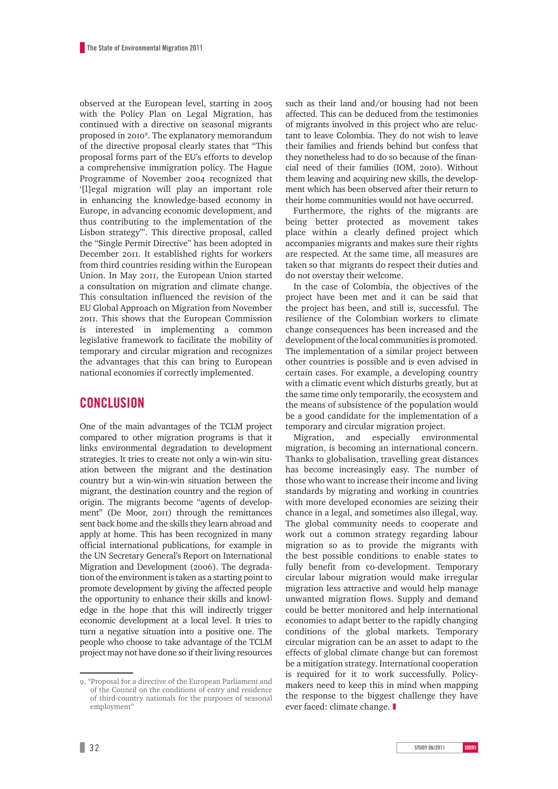observed at the European level, starting in 2005 with the Policy Plan on Legal Migration, has continued with a directive on seasonal migrants proposed in 20109 . The explanatory memorandum of the directive proposal clearly states that "This proposal forms part of the EU's efforts to develop a comprehensive immigration policy. The Hague Programme of November 2004 recognized that '[l]egal migration will play an important role in enhancing the knowledge-based economy in Europe, in advancing economic development, and thus contributing to the implementation of the Lisbon strategy'". This directive proposal, called the "Single Permit Directive" has been adopted in December 2011. It established rights for workers from third countries residing within the European Union. In May 2011, the European Union started a consultation on migration and climate change. This consultation influenced the revision of the EU Global Approach on Migration from November 2011. This shows that the European Commission is interested in implementing a common legislative framework to facilitate the mobility of temporary and circular migration and recognizes the advantages that this can bring to European national economies if correctly implemented.

# **CONCLUSION**

One of the main advantages of the TCLM project compared to other migration programs is that it links environmental degradation to development strategies. It tries to create not only a win-win situation between the migrant and the destination country but a win-win-win situation between the migrant, the destination country and the region of origin. The migrants become "agents of development" (De Moor, 2011) through the remittances sent back home and the skills they learn abroad and apply at home. This has been recognized in many official international publications, for example in the UN Secretary General's Report on International Migration and Development (2006). The degradation of the environment is taken as a starting point to promote development by giving the affected people the opportunity to enhance their skills and knowledge in the hope that this will indirectly trigger economic development at a local level. It tries to turn a negative situation into a positive one. The people who choose to take advantage of the TCLM project may not have done so if their living resources such as their land and/or housing had not been affected. This can be deduced from the testimonies of migrants involved in this project who are reluctant to leave Colombia. They do not wish to leave their families and friends behind but confess that they nonetheless had to do so because of the financial need of their families (IOM, 2010). Without them leaving and acquiring new skills, the development which has been observed after their return to their home communities would not have occurred.

Furthermore, the rights of the migrants are being better protected as movement takes place within a clearly defined project which accompanies migrants and makes sure their rights are respected. At the same time, all measures are taken so that migrants do respect their duties and do not overstay their welcome.

In the case of Colombia, the objectives of the project have been met and it can be said that the project has been, and still is, successful. The resilience of the Colombian workers to climate change consequences has been increased and the development of the local communities is promoted. The implementation of a similar project between other countries is possible and is even advised in certain cases. For example, a developing country with a climatic event which disturbs greatly, but at the same time only temporarily, the ecosystem and the means of subsistence of the population would be a good candidate for the implementation of a temporary and circular migration project.

Migration, and especially environmental migration, is becoming an international concern. Thanks to globalisation, travelling great distances has become increasingly easy. The number of those who want to increase their income and living standards by migrating and working in countries with more developed economies are seizing their chance in a legal, and sometimes also illegal, way. The global community needs to cooperate and work out a common strategy regarding labour migration so as to provide the migrants with the best possible conditions to enable states to fully benefit from co-development. Temporary circular labour migration would make irregular migration less attractive and would help manage unwanted migration flows. Supply and demand could be better monitored and help international economies to adapt better to the rapidly changing conditions of the global markets. Temporary circular migration can be an asset to adapt to the effects of global climate change but can foremost be a mitigation strategy. International cooperation is required for it to work successfully. Policymakers need to keep this in mind when mapping the response to the biggest challenge they have ever faced: climate change. ❚

<sup>9. &</sup>quot;Proposal for a directive of the European Parliament and of the Council on the conditions of entry and residence of third-country nationals for the purposes of seasonal employment"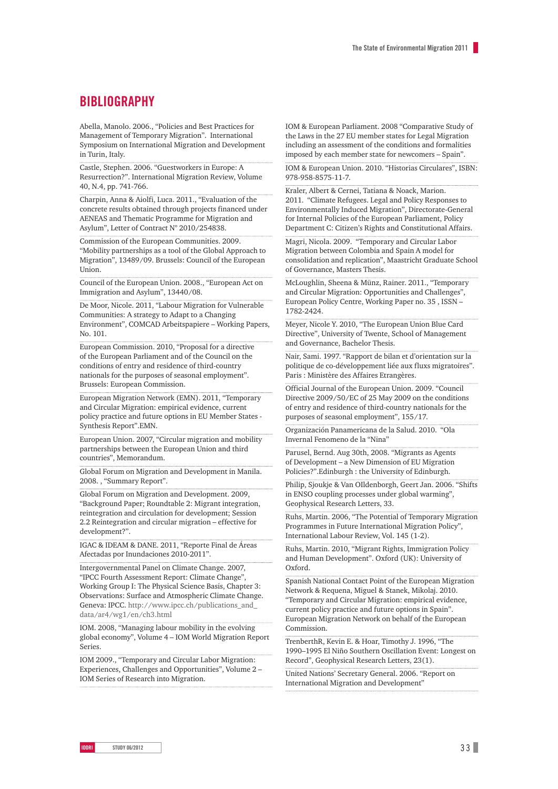### **BIBLIOGRAPHY**

Abella, Manolo. 2006., "Policies and Best Practices for Management of Temporary Migration". International Symposium on International Migration and Development in Turin, Italy.

Castle, Stephen. 2006. "Guestworkers in Europe: A Resurrection?". International Migration Review, Volume 40, N.4, pp. 741-766.

Charpin, Anna & Aiolfi, Luca. 2011., "Evaluation of the concrete results obtained through projects financed under AENEAS and Thematic Programme for Migration and Asylum", Letter of Contract N° 2010/254838.

Commission of the European Communities. 2009. "Mobility partnerships as a tool of the Global Approach to Migration", 13489/09. Brussels: Council of the European Union.

Council of the European Union. 2008., "European Act on Immigration and Asylum", 13440/08.

De Moor, Nicole. 2011, "Labour Migration for Vulnerable Communities: A strategy to Adapt to a Changing Environment", COMCAD Arbeitspapiere – Working Papers, No. 101.

European Commission. 2010, "Proposal for a directive of the European Parliament and of the Council on the conditions of entry and residence of third-country nationals for the purposes of seasonal employment". Brussels: European Commission.

European Migration Network (EMN). 2011, "Temporary and Circular Migration: empirical evidence, current policy practice and future options in EU Member States - Synthesis Report".EMN.

European Union. 2007, "Circular migration and mobility partnerships between the European Union and third countries", Memorandum.

Global Forum on Migration and Development in Manila. 2008. , "Summary Report".

Global Forum on Migration and Development. 2009, "Background Paper; Roundtable 2: Migrant integration, reintegration and circulation for development; Session 2.2 Reintegration and circular migration – effective for development?".

IGAC & IDEAM & DANE. 2011, "Reporte Final de Áreas Afectadas por Inundaciones 2010-2011".

Intergovernmental Panel on Climate Change. 2007, "IPCC Fourth Assessment Report: Climate Change", Working Group I: The Physical Science Basis, Chapter 3: Observations: Surface and Atmospheric Climate Change. Geneva: IPCC. http://www.ipcc.ch/publications\_and\_ data/ar4/wg1/en/ch3.html

IOM. 2008, "Managing labour mobility in the evolving global economy", Volume 4 – IOM World Migration Report **Series** 

IOM 2009., "Temporary and Circular Labor Migration: Experiences, Challenges and Opportunities", Volume 2 – IOM Series of Research into Migration.

IOM & European Parliament. 2008 "Comparative Study of the Laws in the 27 EU member states for Legal Migration including an assessment of the conditions and formalities imposed by each member state for newcomers – Spain".

IOM & European Union. 2010. "Historias Circulares", ISBN: 978-958-8575-11-7.

Kraler, Albert & Cernei, Tatiana & Noack, Marion. 2011. "Climate Refugees. Legal and Policy Responses to Environmentally Induced Migration", Directorate-General for Internal Policies of the European Parliament, Policy Department C: Citizen's Rights and Constitutional Affairs.

Magri, Nicola. 2009. "Temporary and Circular Labor Migration between Colombia and Spain A model for consolidation and replication", Maastricht Graduate School of Governance, Masters Thesis.

McLoughlin, Sheena & Münz, Rainer. 2011., "Temporary and Circular Migration: Opportunities and Challenges", European Policy Centre, Working Paper no. 35 , ISSN – 1782-2424.

Meyer, Nicole Y. 2010, "The European Union Blue Card Directive", University of Twente, School of Management and Governance, Bachelor Thesis.

Nair, Sami. 1997. "Rapport de bilan et d'orientation sur la politique de co-développement liée aux fluxs migratoires". Paris : Ministère des Affaires Etrangères.

Official Journal of the European Union. 2009. "Council Directive 2009/50/EC of 25 May 2009 on the conditions of entry and residence of third-country nationals for the purposes of seasonal employment", 155/17.

Organización Panamericana de la Salud. 2010. "Ola Invernal Fenomeno de la "Nina"

Parusel, Bernd. Aug 30th, 2008. "Migrants as Agents of Development – a New Dimension of EU Migration Policies?".Edinburgh : the University of Edinburgh.

Philip, Sjoukje & Van OIldenborgh, Geert Jan. 2006. "Shifts in ENSO coupling processes under global warming", Geophysical Research Letters, 33.

Ruhs, Martin. 2006, "The Potential of Temporary Migration Programmes in Future International Migration Policy", International Labour Review, Vol. 145 (1-2).

Ruhs, Martin. 2010, "Migrant Rights, Immigration Policy and Human Development". Oxford (UK): University of Oxford.

Spanish National Contact Point of the European Migration Network & Requena, Miguel & Stanek, Mikolaj. 2010. "Temporary and Circular Migration: empirical evidence, current policy practice and future options in Spain". European Migration Network on behalf of the European Commission.

TrenberthR, Kevin E. & Hoar, Timothy J. 1996, "The 1990–1995 El Niño Southern Oscillation Event: Longest on Record", Geophysical Research Letters, 23(1).

United Nations' Secretary General. 2006. "Report on International Migration and Development"